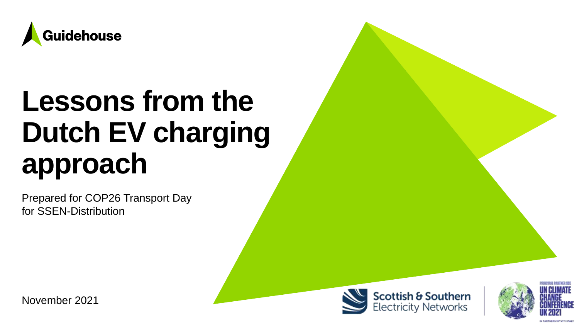

# **Lessons from the Dutch EV charging approach**

Prepared for COP26 Transport Day for SSEN-Distribution





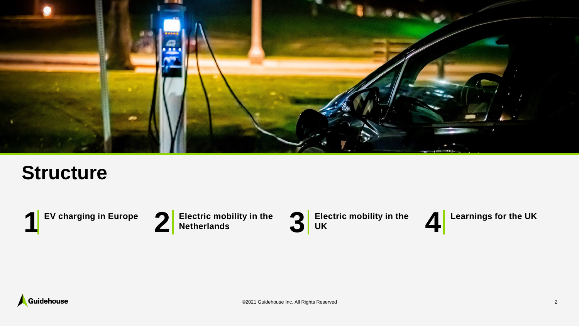

### **Structure**







**UK**



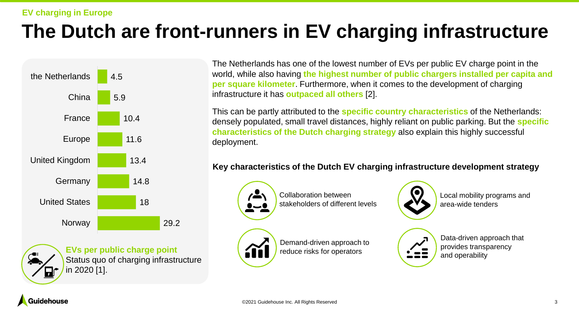#### **EV charging in Europe**

### **The Dutch are front-runners in EV charging infrastructure**



**EVs per public charge point** Status quo of charging infrastructure in 2020 [1].

The Netherlands has one of the lowest number of EVs per public EV charge point in the world, while also having **the highest number of public chargers installed per capita and per square kilometer**. Furthermore, when it comes to the development of charging infrastructure it has **outpaced all others** [2].

This can be partly attributed to the **specific country characteristics** of the Netherlands: densely populated, small travel distances, highly reliant on public parking. But the **specific characteristics of the Dutch charging strategy** also explain this highly successful deployment.

#### **Key characteristics of the Dutch EV charging infrastructure development strategy**



Collaboration between stakeholders of different levels



Local mobility programs and area-wide tenders



Demand-driven approach to reduce risks for operators

Data-driven approach that provides transparency and operability

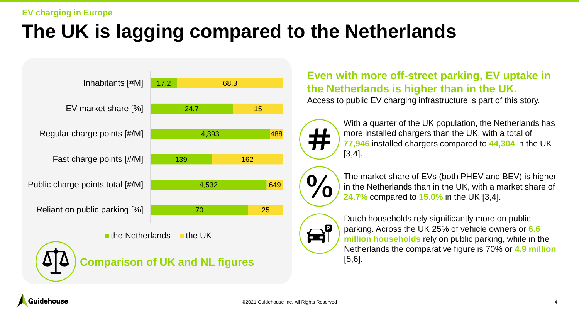#### **EV charging in Europe**

### **The UK is lagging compared to the Netherlands**



### **Even with more off-street parking, EV uptake in the Netherlands is higher than in the UK.**

Access to public EV charging infrastructure is part of this story.



With a quarter of the UK population, the Netherlands has more installed chargers than the UK, with a total of **77,946** installed chargers compared to **44,304** in the UK [3,4].



The market share of EVs (both PHEV and BEV) is higher in the Netherlands than in the UK, with a market share of **24.7%** compared to **15.0%** in the UK [3,4].



Dutch households rely significantly more on public parking. Across the UK 25% of vehicle owners or **6.6 million households** rely on public parking, while in the Netherlands the comparative figure is 70% or **4.9 million**  [5,6].

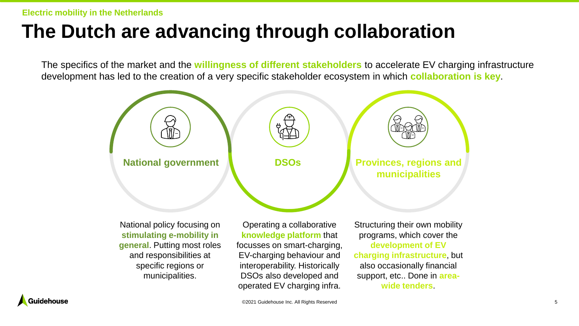**Electric mobility in the Netherlands**

### **The Dutch are advancing through collaboration**

The specifics of the market and the **willingness of different stakeholders** to accelerate EV charging infrastructure development has led to the creation of a very specific stakeholder ecosystem in which **collaboration is key**.



National policy focusing on **stimulating e-mobility in general**. Putting most roles and responsibilities at specific regions or municipalities.

Operating a collaborative **knowledge platform** that focusses on smart-charging, EV-charging behaviour and interoperability. Historically DSOs also developed and operated EV charging infra.

Structuring their own mobility programs, which cover the **development of EV charging infrastructure**, but also occasionally financial support, etc.. Done in **areawide tenders**.

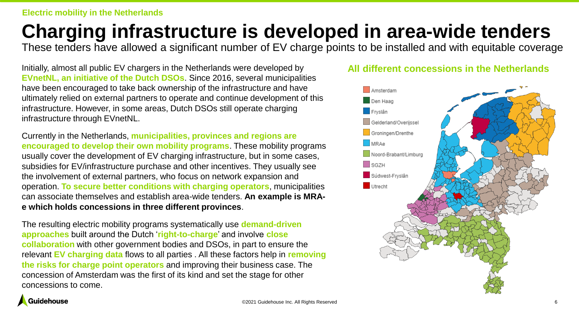### **Charging infrastructure is developed in area-wide tenders**

These tenders have allowed a significant number of EV charge points to be installed and with equitable coverage

Initially, almost all public EV chargers in the Netherlands were developed by **EVnetNL, an initiative of the Dutch DSOs**. Since 2016, several municipalities have been encouraged to take back ownership of the infrastructure and have ultimately relied on external partners to operate and continue development of this infrastructure. However, in some areas, Dutch DSOs still operate charging infrastructure through EVnetNL.

Currently in the Netherlands, **municipalities, provinces and regions are encouraged to develop their own mobility programs**. These mobility programs usually cover the development of EV charging infrastructure, but in some cases, subsidies for EV/infrastructure purchase and other incentives. They usually see the involvement of external partners, who focus on network expansion and operation. **To secure better conditions with charging operators**, municipalities can associate themselves and establish area-wide tenders. **An example is MRAe which holds concessions in three different provinces**.

The resulting electric mobility programs systematically use **demand-driven approaches** built around the Dutch '**right-to-charge**' and involve **close collaboration** with other government bodies and DSOs, in part to ensure the relevant **EV charging data** flows to all parties . All these factors help in **removing the risks for charge point operators** and improving their business case. The concession of Amsterdam was the first of its kind and set the stage for other concessions to come.

### **All different concessions in the Netherlands**



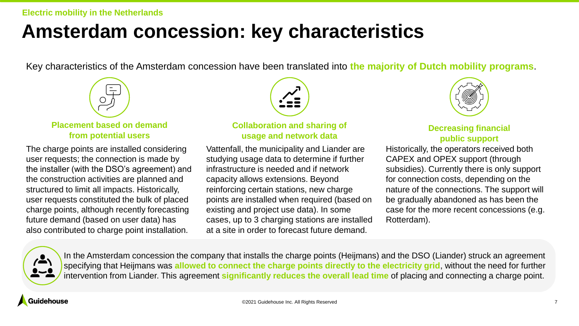### **Amsterdam concession: key characteristics**

Key characteristics of the Amsterdam concession have been translated into **the majority of Dutch mobility programs**.



**Placement based on demand from potential users**

The charge points are installed considering user requests; the connection is made by the installer (with the DSO's agreement) and the construction activities are planned and structured to limit all impacts. Historically, user requests constituted the bulk of placed charge points, although recently forecasting future demand (based on user data) has also contributed to charge point installation.

#### **Collaboration and sharing of usage and network data**

Vattenfall, the municipality and Liander are studying usage data to determine if further infrastructure is needed and if network capacity allows extensions. Beyond reinforcing certain stations, new charge points are installed when required (based on existing and project use data). In some cases, up to 3 charging stations are installed at a site in order to forecast future demand.



### **Decreasing financial public support**

Historically, the operators received both CAPEX and OPEX support (through subsidies). Currently there is only support for connection costs, depending on the nature of the connections. The support will be gradually abandoned as has been the case for the more recent concessions (e.g. Rotterdam).



In the Amsterdam concession the company that installs the charge points (Heijmans) and the DSO (Liander) struck an agreement specifying that Heijmans was **allowed to connect the charge points directly to the electricity grid**, without the need for further intervention from Liander. This agreement **significantly reduces the overall lead time** of placing and connecting a charge point.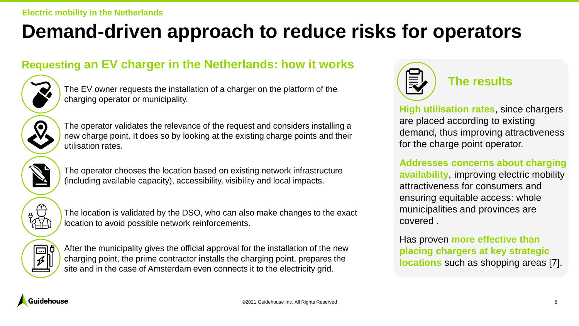### **Demand-driven approach to reduce risks for operators**

### **Requesting an EV charger in the Netherlands: how it works**



The EV owner requests the installation of a charger on the platform of the charging operator or municipality.

The operator validates the relevance of the request and considers installing a new charge point. It does so by looking at the existing charge points and their utilisation rates.



The operator chooses the location based on existing network infrastructure (including available capacity), accessibility, visibility and local impacts.



The location is validated by the DSO, who can also make changes to the exact location to avoid possible network reinforcements.



After the municipality gives the official approval for the installation of the new charging point, the prime contractor installs the charging point, prepares the site and in the case of Amsterdam even connects it to the electricity grid.



**The results**

**High utilisation rates**, since chargers are placed according to existing demand, thus improving attractiveness for the charge point operator.

**Addresses concerns about charging availability**, improving electric mobility attractiveness for consumers and ensuring equitable access: whole municipalities and provinces are covered .

Has proven **more effective than placing chargers at key strategic locations** such as shopping areas [7].

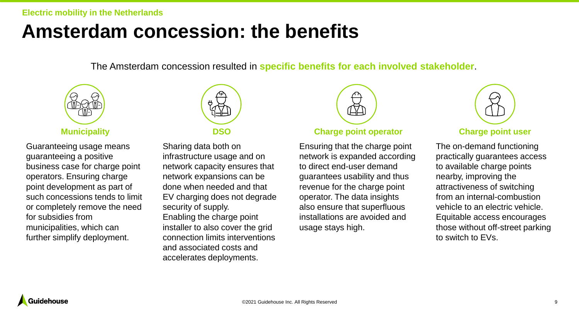#### **Electric mobility in the Netherlands**

### **Amsterdam concession: the benefits**

The Amsterdam concession resulted in **specific benefits for each involved stakeholder**.



Guaranteeing usage means guaranteeing a positive business case for charge point operators. Ensuring charge point development as part of such concessions tends to limit or completely remove the need for subsidies from municipalities, which can further simplify deployment.



Sharing data both on infrastructure usage and on network capacity ensures that network expansions can be done when needed and that EV charging does not degrade security of supply. Enabling the charge point installer to also cover the grid connection limits interventions and associated costs and accelerates deployments.



#### **Municipality DSO Charge point operator Charge point user**

Ensuring that the charge point network is expanded according to direct end-user demand guarantees usability and thus revenue for the charge point operator. The data insights also ensure that superfluous installations are avoided and usage stays high.



The on-demand functioning practically guarantees access to available charge points nearby, improving the attractiveness of switching from an internal-combustion vehicle to an electric vehicle. Equitable access encourages those without off-street parking to switch to EVs.

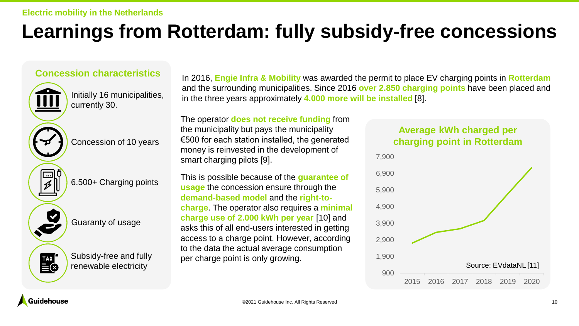### **Learnings from Rotterdam: fully subsidy-free concessions**

### **Concession characteristics**



Initially 16 municipalities, currently 30.

Concession of 10 years

6.500+ Charging points



Subsidy-free and fully renewable electricity

In 2016, **Engie Infra & Mobility** was awarded the permit to place EV charging points in **Rotterdam**  and the surrounding municipalities. Since 2016 **over 2.850 charging points** have been placed and in the three years approximately **4.000 more will be installed** [8].

The operator **does not receive funding** from the municipality but pays the municipality €500 for each station installed, the generated money is reinvested in the development of smart charging pilots [9].

This is possible because of the **guarantee of usage** the concession ensure through the **demand-based model** and the **right-tocharge**. The operator also requires a **minimal charge use of 2.000 kWh per year** [10] and asks this of all end-users interested in getting access to a charge point. However, according to the data the actual average consumption per charge point is only growing.

### **Average kWh charged per charging point in Rotterdam**



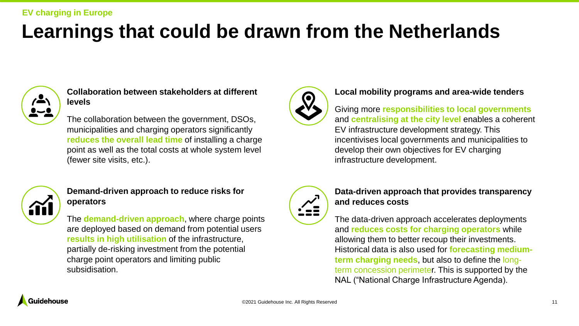### **Learnings that could be drawn from the Netherlands**



**Collaboration between stakeholders at different levels**

The collaboration between the government, DSOs, municipalities and charging operators significantly **reduces the overall lead time** of installing a charge point as well as the total costs at whole system level (fewer site visits, etc.).



### **Demand-driven approach to reduce risks for operators**

The **demand-driven approach**, where charge points are deployed based on demand from potential users **results in high utilisation** of the infrastructure, partially de-risking investment from the potential charge point operators and limiting public subsidisation.



#### **Local mobility programs and area-wide tenders**

### Giving more **responsibilities to local governments** and **centralising at the city level** enables a coherent

EV infrastructure development strategy. This incentivises local governments and municipalities to develop their own objectives for EV charging infrastructure development.



#### **Data-driven approach that provides transparency and reduces costs**

The data-driven approach accelerates deployments and **reduces costs for charging operators** while allowing them to better recoup their investments. Historical data is also used for **forecasting mediumterm charging needs**, but also to define the longterm concession perimeter. This is supported by the NAL ("National Charge Infrastructure Agenda).

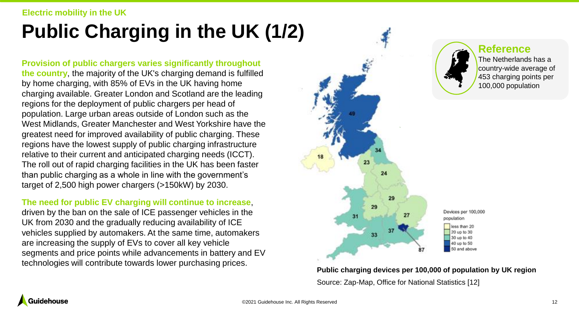#### **Electric mobility in the UK**

## **Public Charging in the UK (1/2)**

**Provision of public chargers varies significantly throughout the country**, the majority of the UK's charging demand is fulfilled by home charging, with 85% of EVs in the UK having home charging available. Greater London and Scotland are the leading regions for the deployment of public chargers per head of population. Large urban areas outside of London such as the West Midlands, Greater Manchester and West Yorkshire have the greatest need for improved availability of public charging. These regions have the lowest supply of public charging infrastructure relative to their current and anticipated charging needs (ICCT). The roll out of rapid charging facilities in the UK has been faster than public charging as a whole in line with the government's target of 2,500 high power chargers (>150kW) by 2030.

#### **The need for public EV charging will continue to increase**,

driven by the ban on the sale of ICE passenger vehicles in the UK from 2030 and the gradually reducing availability of ICE vehicles supplied by automakers. At the same time, automakers are increasing the supply of EVs to cover all key vehicle segments and price points while advancements in battery and EV technologies will contribute towards lower purchasing prices.



**Public charging devices per 100,000 of population by UK region** Source: Zap-Map, Office for National Statistics [12]

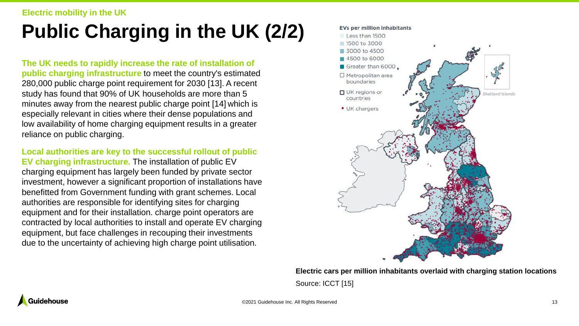## **Public Charging in the UK (2/2)**

**The UK needs to rapidly increase the rate of installation of public charging infrastructure** to meet the country's estimated 280,000 public charge point requirement for 2030 [13]. A recent study has found that 90% of UK households are more than 5 minutes away from the nearest public charge point [14] which is especially relevant in cities where their dense populations and low availability of home charging equipment results in a greater reliance on public charging.

**Local authorities are key to the successful rollout of public EV charging infrastructure.** The installation of public EV charging equipment has largely been funded by private sector investment, however a significant proportion of installations have benefitted from Government funding with grant schemes. Local authorities are responsible for identifying sites for charging equipment and for their installation. charge point operators are contracted by local authorities to install and operate EV charging equipment, but face challenges in recouping their investments due to the uncertainty of achieving high charge point utilisation.



**Electric cars per million inhabitants overlaid with charging station locations** Source: ICCT [15]

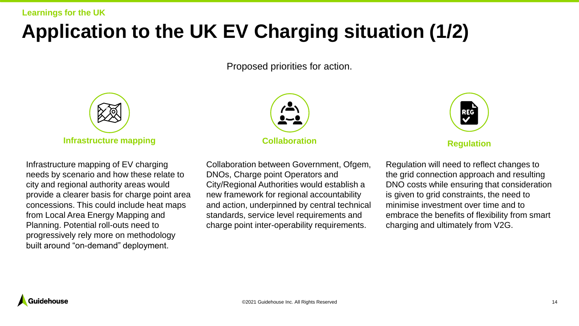### **Application to the UK EV Charging situation (1/2)**

### Proposed priorities for action.



Infrastructure mapping of EV charging needs by scenario and how these relate to city and regional authority areas would provide a clearer basis for charge point area concessions. This could include heat maps from Local Area Energy Mapping and Planning. Potential roll-outs need to progressively rely more on methodology built around "on-demand" deployment.



Collaboration between Government, Ofgem, DNOs, Charge point Operators and City/Regional Authorities would establish a new framework for regional accountability and action, underpinned by central technical standards, service level requirements and charge point inter-operability requirements.

| <b>REG</b> |  |
|------------|--|
|            |  |
|            |  |

Regulation will need to reflect changes to the grid connection approach and resulting DNO costs while ensuring that consideration is given to grid constraints, the need to minimise investment over time and to embrace the benefits of flexibility from smart charging and ultimately from V2G.

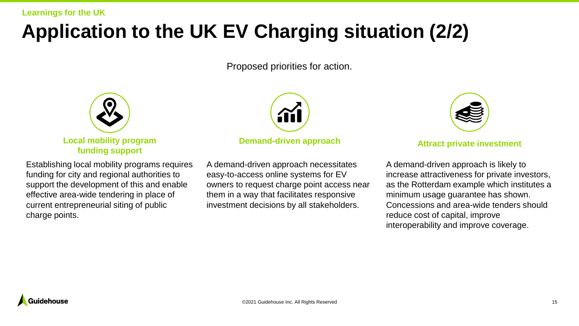### **Application to the UK EV Charging situation (2/2)**

### Proposed priorities for action.



Establishing local mobility programs requires funding for city and regional authorities to support the development of this and enable effective area-wide tendering in place of current entrepreneurial siting of public charge points.



#### **Demand-driven approach by a set of a set of a Attract private investment**

A demand-driven approach necessitates easy-to-access online systems for EV owners to request charge point access near them in a way that facilitates responsive investment decisions by all stakeholders.

| э |  |
|---|--|
|   |  |

A demand-driven approach is likely to increase attractiveness for private investors, as the Rotterdam example which institutes a minimum usage guarantee has shown. Concessions and area-wide tenders should reduce cost of capital, improve interoperability and improve coverage.

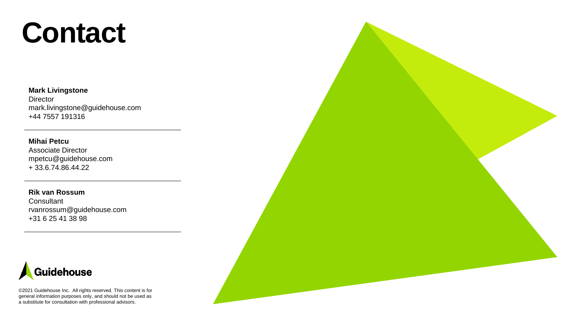# **Contact**

#### **Mark Livingstone**

**Director** mark.livingstone@guidehouse.com +44 7557 191316

#### **Mihai Petcu**

Associate Director mpetcu@guidehouse.com + 33.6.74.86.44.22

**Rik van Rossum Consultant** rvanrossum@guidehouse.com +31 6 25 41 38 98



©2021 Guidehouse Inc. All rights reserved. This content is for general information purposes only, and should not be used as a substitute for consultation with professional advisors.